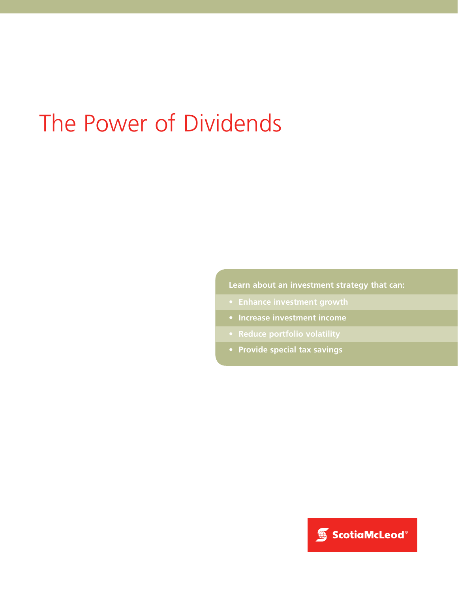# The Power of Dividends

**Learn about an investment strategy that can:**

- 
- **Increase investment income**
- 
- **Provide special tax savings**

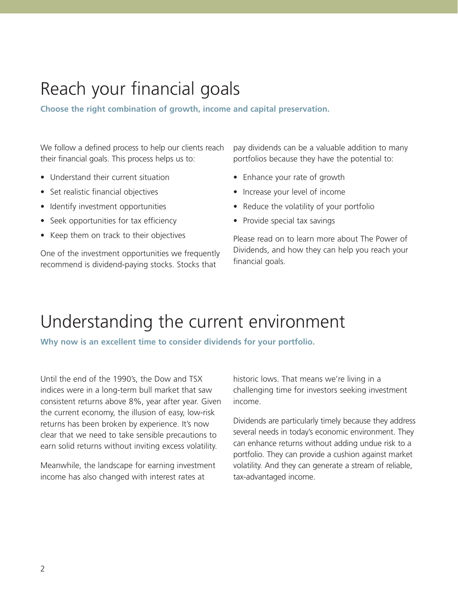### Reach your financial goals

**Choose the right combination of growth, income and capital preservation.**

We follow a defined process to help our clients reach their financial goals. This process helps us to:

- Understand their current situation
- Set realistic financial objectives
- Identify investment opportunities
- Seek opportunities for tax efficiency
- Keep them on track to their objectives

One of the investment opportunities we frequently recommend is dividend-paying stocks. Stocks that

pay dividends can be a valuable addition to many portfolios because they have the potential to:

- Enhance your rate of growth
- Increase your level of income
- Reduce the volatility of your portfolio
- Provide special tax savings

Please read on to learn more about The Power of Dividends, and how they can help you reach your financial goals.

#### Understanding the current environment

**Why now is an excellent time to consider dividends for your portfolio.**

Until the end of the 1990's, the Dow and TSX indices were in a long-term bull market that saw consistent returns above 8%, year after year. Given the current economy, the illusion of easy, low-risk returns has been broken by experience. It's now clear that we need to take sensible precautions to earn solid returns without inviting excess volatility.

Meanwhile, the landscape for earning investment income has also changed with interest rates at

historic lows. That means we're living in a challenging time for investors seeking investment income.

Dividends are particularly timely because they address several needs in today's economic environment. They can enhance returns without adding undue risk to a portfolio. They can provide a cushion against market volatility. And they can generate a stream of reliable, tax-advantaged income.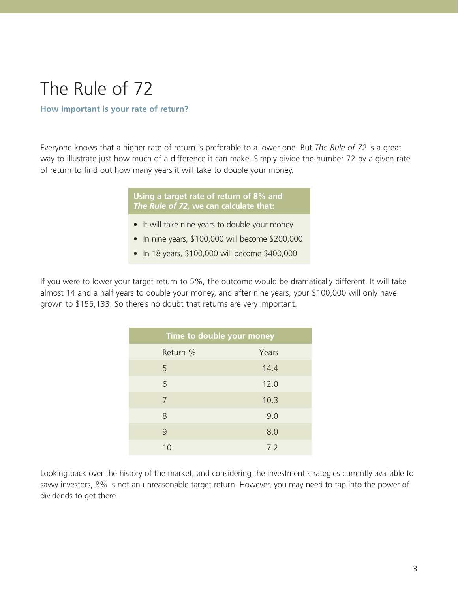### The Rule of 72

#### **How important is your rate of return?**

Everyone knows that a higher rate of return is preferable to a lower one. But *The Rule of 72* is a great way to illustrate just how much of a difference it can make. Simply divide the number 72 by a given rate of return to find out how many years it will take to double your money.

> **Using a target rate of return of 8% and**  *The Rule of 72,* **we can calculate that:**

- It will take nine years to double your money
- In nine years, \$100,000 will become \$200,000
- In 18 years, \$100,000 will become \$400,000

If you were to lower your target return to 5%, the outcome would be dramatically different. It will take almost 14 and a half years to double your money, and after nine years, your \$100,000 will only have grown to \$155,133. So there's no doubt that returns are very important.

| Time to double your money |       |  |  |
|---------------------------|-------|--|--|
| Return %                  | Years |  |  |
| 5                         | 14.4  |  |  |
| 6                         | 12.0  |  |  |
| 7                         | 10.3  |  |  |
| 8                         | 9.0   |  |  |
| 9                         | 8.0   |  |  |
| 10                        | 7.2   |  |  |

Looking back over the history of the market, and considering the investment strategies currently available to savvy investors, 8% is not an unreasonable target return. However, you may need to tap into the power of dividends to get there.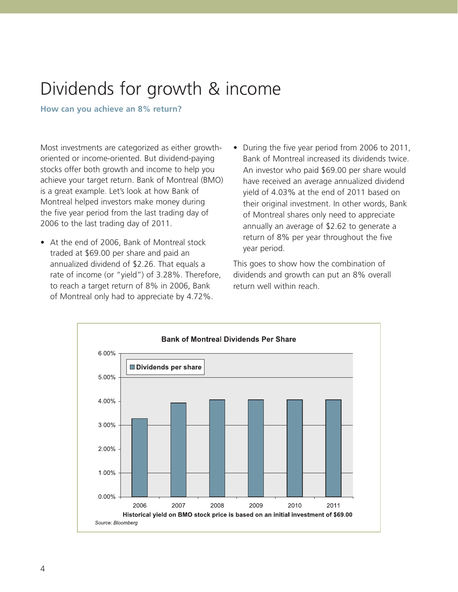### Dividends for growth & income

**How can you achieve an 8% return?** 

Most investments are categorized as either growthoriented or income-oriented. But dividend-paying stocks offer both growth and income to help you achieve your target return. Bank of Montreal (BMO) is a great example. Let's look at how Bank of Montreal helped investors make money during the five year period from the last trading day of 2006 to the last trading day of 2011.

- At the end of 2006, Bank of Montreal stock traded at \$69.00 per share and paid an annualized dividend of \$2.26. That equals a rate of income (or "yield") of 3.28%. Therefore, to reach a target return of 8% in 2006, Bank of Montreal only had to appreciate by 4.72%.
- During the five year period from 2006 to 2011, Bank of Montreal increased its dividends twice. An investor who paid \$69.00 per share would have received an average annualized dividend yield of 4.03% at the end of 2011 based on their original investment. In other words, Bank of Montreal shares only need to appreciate annually an average of \$2.62 to generate a return of 8% per year throughout the five year period.

This goes to show how the combination of dividends and growth can put an 8% overall return well within reach.

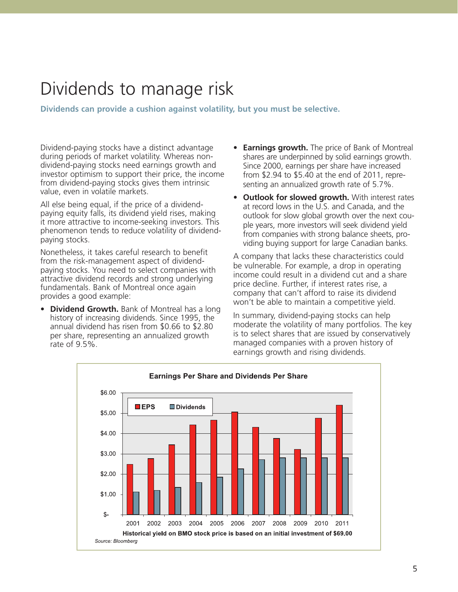#### Dividends to manage risk

**Dividends can provide a cushion against volatility, but you must be selective.**

Dividend-paying stocks have a distinct advantage during periods of market volatility. Whereas nondividend-paying stocks need earnings growth and investor optimism to support their price, the income from dividend-paying stocks gives them intrinsic value, even in volatile markets.

All else being equal, if the price of a dividendpaying equity falls, its dividend yield rises, making it more attractive to income-seeking investors. This phenomenon tends to reduce volatility of dividendpaying stocks.

Nonetheless, it takes careful research to benefit from the risk-management aspect of dividendpaying stocks. You need to select companies with attractive dividend records and strong underlying fundamentals. Bank of Montreal once again provides a good example:

• **Dividend Growth.** Bank of Montreal has a long history of increasing dividends. Since 1995, the annual dividend has risen from \$0.66 to \$2.80 per share, representing an annualized growth rate of 9.5%.

- **Earnings growth.** The price of Bank of Montreal shares are underpinned by solid earnings growth. Since 2000, earnings per share have increased from \$2.94 to \$5.40 at the end of 2011, representing an annualized growth rate of 5.7%.
- **Outlook for slowed growth.** With interest rates at record lows in the U.S. and Canada, and the outlook for slow global growth over the next couple years, more investors will seek dividend yield from companies with strong balance sheets, providing buying support for large Canadian banks.

A company that lacks these characteristics could be vulnerable. For example, a drop in operating income could result in a dividend cut and a share price decline. Further, if interest rates rise, a company that can't afford to raise its dividend won't be able to maintain a competitive yield.

In summary, dividend-paying stocks can help moderate the volatility of many portfolios. The key is to select shares that are issued by conservatively managed companies with a proven history of earnings growth and rising dividends.

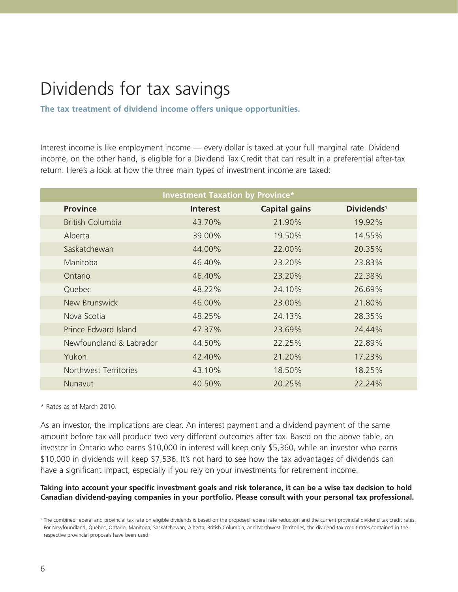## Dividends for tax savings

**The tax treatment of dividend income offers unique opportunities.**

Interest income is like employment income — every dollar is taxed at your full marginal rate. Dividend income, on the other hand, is eligible for a Dividend Tax Credit that can result in a preferential after-tax return. Here's a look at how the three main types of investment income are taxed:

| <b>Investment Taxation by Province*</b> |                 |                      |                        |
|-----------------------------------------|-----------------|----------------------|------------------------|
| <b>Province</b>                         | <b>Interest</b> | <b>Capital gains</b> | Dividends <sup>1</sup> |
| <b>British Columbia</b>                 | 43.70%          | 21.90%               | 19.92%                 |
| Alberta                                 | 39.00%          | 19.50%               | 14.55%                 |
| Saskatchewan                            | 44.00%          | 22.00%               | 20.35%                 |
| Manitoba                                | 46.40%          | 23.20%               | 23.83%                 |
| Ontario                                 | 46.40%          | 23.20%               | 22.38%                 |
| Quebec                                  | 48.22%          | 24.10%               | 26.69%                 |
| New Brunswick                           | 46.00%          | 23.00%               | 21.80%                 |
| Nova Scotia                             | 48.25%          | 24.13%               | 28.35%                 |
| Prince Edward Island                    | 47.37%          | 23.69%               | 24.44%                 |
| Newfoundland & Labrador                 | 44.50%          | 22.25%               | 22.89%                 |
| Yukon                                   | 42.40%          | 21.20%               | 17.23%                 |
| Northwest Territories                   | 43.10%          | 18.50%               | 18.25%                 |
| Nunavut                                 | 40.50%          | 20.25%               | 22.24%                 |

\* Rates as of March 2010.

As an investor, the implications are clear. An interest payment and a dividend payment of the same amount before tax will produce two very different outcomes after tax. Based on the above table, an investor in Ontario who earns \$10,000 in interest will keep only \$5,360, while an investor who earns \$10,000 in dividends will keep \$7,536. It's not hard to see how the tax advantages of dividends can have a significant impact, especially if you rely on your investments for retirement income.

#### **Taking into account your specific investment goals and risk tolerance, it can be a wise tax decision to hold Canadian dividend-paying companies in your portfolio. Please consult with your personal tax professional.**

<sup>1</sup> The combined federal and provincial tax rate on eligible dividends is based on the proposed federal rate reduction and the current provincial dividend tax credit rates. For Newfoundland, Quebec, Ontario, Manitoba, Saskatchewan, Alberta, British Columbia, and Northwest Territories, the dividend tax credit rates contained in the respective provincial proposals have been used.